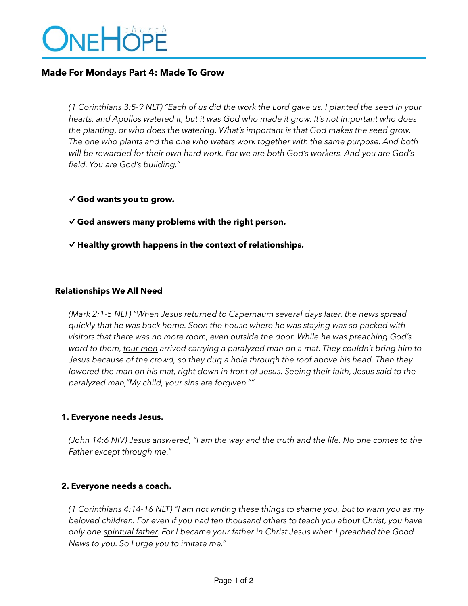# ONEHÖPE

## **Made For Mondays Part 4: Made To Grow**

*(1 Corinthians 3:5-9 NLT) "Each of us did the work the Lord gave us. I planted the seed in your hearts, and Apollos watered it, but it was God who made it grow. It's not important who does the planting, or who does the watering. What's important is that God makes the seed grow. The one who plants and the one who waters work together with the same purpose. And both will be rewarded for their own hard work. For we are both God's workers. And you are God's field. You are God's building."* 

- **✓ God wants you to grow.**
- **✓ God answers many problems with the right person.**
- **✓ Healthy growth happens in the context of relationships.**

#### **Relationships We All Need**

*(Mark 2:1-5 NLT) "When Jesus returned to Capernaum several days later, the news spread quickly that he was back home. Soon the house where he was staying was so packed with visitors that there was no more room, even outside the door. While he was preaching God's word to them, four men arrived carrying a paralyzed man on a mat. They couldn't bring him to Jesus because of the crowd, so they dug a hole through the roof above his head. Then they lowered the man on his mat, right down in front of Jesus. Seeing their faith, Jesus said to the paralyzed man,"My child, your sins are forgiven.""*

#### **1. Everyone needs Jesus.**

*(John 14:6 NIV) Jesus answered, "I am the way and the truth and the life. No one comes to the Father except through me."* 

#### **2. Everyone needs a coach.**

*(1 Corinthians 4:14-16 NLT) "I am not writing these things to shame you, but to warn you as my beloved children. For even if you had ten thousand others to teach you about Christ, you have only one spiritual father. For I became your father in Christ Jesus when I preached the Good News to you. So I urge you to imitate me."*